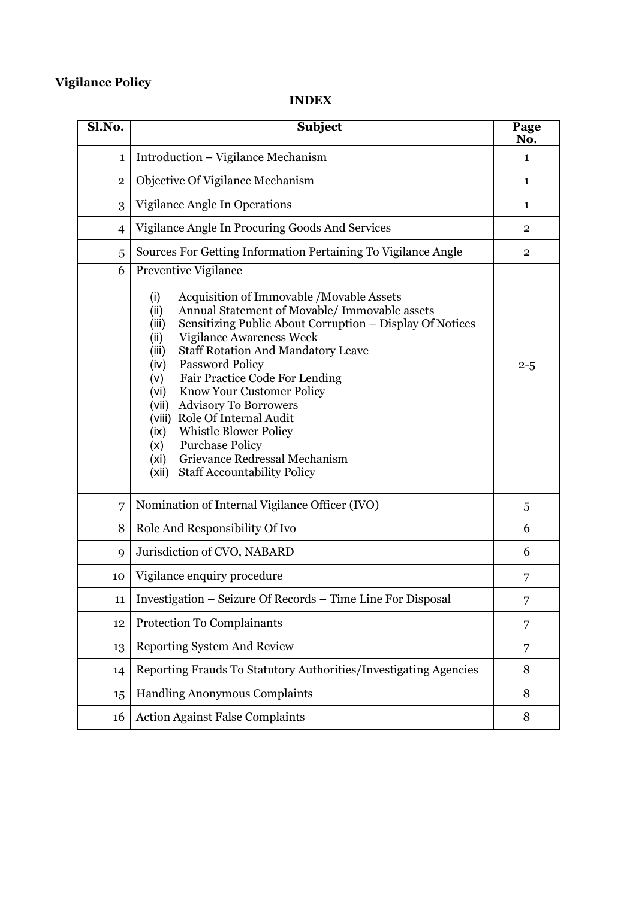# **Vigilance Policy**

# **INDEX**

| Sl.No.         | <b>Subject</b>                                                                                                                                                                                                                                                                                                                                                                                                                                                                                                                                                                                                                                                       |                |  |  |  |
|----------------|----------------------------------------------------------------------------------------------------------------------------------------------------------------------------------------------------------------------------------------------------------------------------------------------------------------------------------------------------------------------------------------------------------------------------------------------------------------------------------------------------------------------------------------------------------------------------------------------------------------------------------------------------------------------|----------------|--|--|--|
| 1              | Introduction – Vigilance Mechanism                                                                                                                                                                                                                                                                                                                                                                                                                                                                                                                                                                                                                                   |                |  |  |  |
| $\overline{2}$ | Objective Of Vigilance Mechanism                                                                                                                                                                                                                                                                                                                                                                                                                                                                                                                                                                                                                                     | $\mathbf{1}$   |  |  |  |
| 3              | Vigilance Angle In Operations                                                                                                                                                                                                                                                                                                                                                                                                                                                                                                                                                                                                                                        | $\mathbf{1}$   |  |  |  |
| $\overline{4}$ | Vigilance Angle In Procuring Goods And Services                                                                                                                                                                                                                                                                                                                                                                                                                                                                                                                                                                                                                      |                |  |  |  |
| 5              | Sources For Getting Information Pertaining To Vigilance Angle                                                                                                                                                                                                                                                                                                                                                                                                                                                                                                                                                                                                        | $\overline{2}$ |  |  |  |
| 6              | Preventive Vigilance<br>Acquisition of Immovable /Movable Assets<br>(i)<br>Annual Statement of Movable/ Immovable assets<br>(ii)<br>Sensitizing Public About Corruption - Display Of Notices<br>(iii)<br><b>Vigilance Awareness Week</b><br>(ii)<br><b>Staff Rotation And Mandatory Leave</b><br>(iii)<br><b>Password Policy</b><br>(iv)<br>Fair Practice Code For Lending<br>(v)<br>Know Your Customer Policy<br>(vi)<br><b>Advisory To Borrowers</b><br>(vii)<br>Role Of Internal Audit<br>(viii)<br><b>Whistle Blower Policy</b><br>(ix)<br><b>Purchase Policy</b><br>(x)<br>Grievance Redressal Mechanism<br>(xi)<br><b>Staff Accountability Policy</b><br>(xii) | $2 - 5$        |  |  |  |
| 7              | Nomination of Internal Vigilance Officer (IVO)                                                                                                                                                                                                                                                                                                                                                                                                                                                                                                                                                                                                                       | 5              |  |  |  |
| 8              | Role And Responsibility Of Ivo                                                                                                                                                                                                                                                                                                                                                                                                                                                                                                                                                                                                                                       | 6              |  |  |  |
| 9              | Jurisdiction of CVO, NABARD                                                                                                                                                                                                                                                                                                                                                                                                                                                                                                                                                                                                                                          | 6              |  |  |  |
| 10             | Vigilance enquiry procedure                                                                                                                                                                                                                                                                                                                                                                                                                                                                                                                                                                                                                                          | 7              |  |  |  |
| 11             | Investigation - Seizure Of Records - Time Line For Disposal                                                                                                                                                                                                                                                                                                                                                                                                                                                                                                                                                                                                          | 7              |  |  |  |
| 12             | Protection To Complainants                                                                                                                                                                                                                                                                                                                                                                                                                                                                                                                                                                                                                                           |                |  |  |  |
| 13             | Reporting System And Review                                                                                                                                                                                                                                                                                                                                                                                                                                                                                                                                                                                                                                          |                |  |  |  |
| 14             | Reporting Frauds To Statutory Authorities/Investigating Agencies<br>8                                                                                                                                                                                                                                                                                                                                                                                                                                                                                                                                                                                                |                |  |  |  |
| 15             | <b>Handling Anonymous Complaints</b>                                                                                                                                                                                                                                                                                                                                                                                                                                                                                                                                                                                                                                 |                |  |  |  |
| 16             | <b>Action Against False Complaints</b>                                                                                                                                                                                                                                                                                                                                                                                                                                                                                                                                                                                                                               | 8              |  |  |  |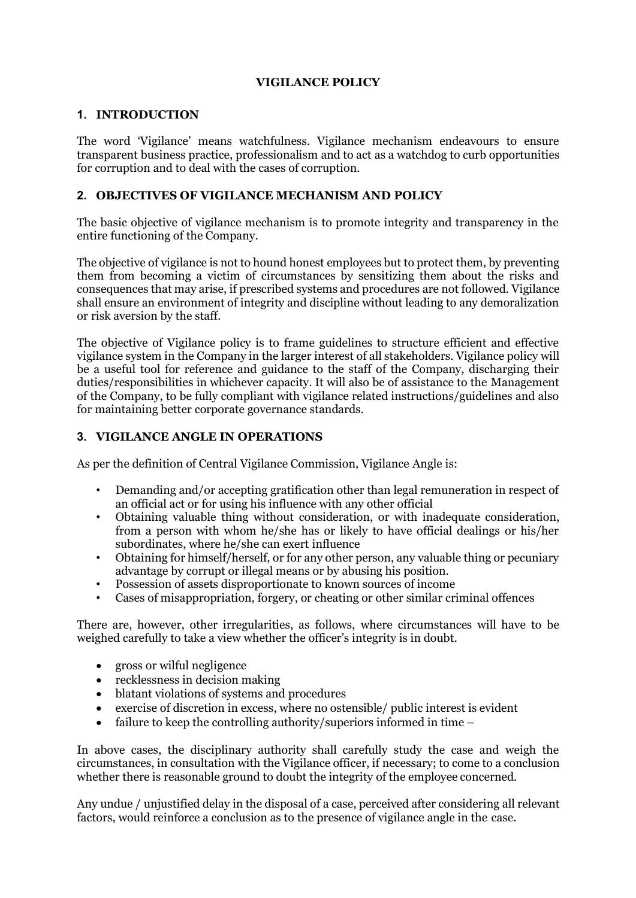# **VIGILANCE POLICY**

#### **1. INTRODUCTION**

The word 'Vigilance' means watchfulness. Vigilance mechanism endeavours to ensure transparent business practice, professionalism and to act as a watchdog to curb opportunities for corruption and to deal with the cases of corruption.

# **2. OBJECTIVES OF VIGILANCE MECHANISM AND POLICY**

The basic objective of vigilance mechanism is to promote integrity and transparency in the entire functioning of the Company.

The objective of vigilance is not to hound honest employees but to protect them, by preventing them from becoming a victim of circumstances by sensitizing them about the risks and consequences that may arise, if prescribed systems and procedures are not followed. Vigilance shall ensure an environment of integrity and discipline without leading to any demoralization or risk aversion by the staff.

The objective of Vigilance policy is to frame guidelines to structure efficient and effective vigilance system in the Company in the larger interest of all stakeholders. Vigilance policy will be a useful tool for reference and guidance to the staff of the Company, discharging their duties/responsibilities in whichever capacity. It will also be of assistance to the Management of the Company, to be fully compliant with vigilance related instructions/guidelines and also for maintaining better corporate governance standards.

# **3. VIGILANCE ANGLE IN OPERATIONS**

As per the definition of Central Vigilance Commission, Vigilance Angle is:

- Demanding and/or accepting gratification other than legal remuneration in respect of an official act or for using his influence with any other official
- Obtaining valuable thing without consideration, or with inadequate consideration, from a person with whom he/she has or likely to have official dealings or his/her subordinates, where he/she can exert influence
- Obtaining for himself/herself, or for any other person, any valuable thing or pecuniary advantage by corrupt or illegal means or by abusing his position.
- Possession of assets disproportionate to known sources of income
- Cases of misappropriation, forgery, or cheating or other similar criminal offences

There are, however, other irregularities, as follows, where circumstances will have to be weighed carefully to take a view whether the officer's integrity is in doubt.

- gross or wilful negligence
- recklessness in decision making
- blatant violations of systems and procedures
- exercise of discretion in excess, where no ostensible/ public interest is evident
- failure to keep the controlling authority/superiors informed in time –

In above cases, the disciplinary authority shall carefully study the case and weigh the circumstances, in consultation with the Vigilance officer, if necessary; to come to a conclusion whether there is reasonable ground to doubt the integrity of the employee concerned.

Any undue / unjustified delay in the disposal of a case, perceived after considering all relevant factors, would reinforce a conclusion as to the presence of vigilance angle in the case.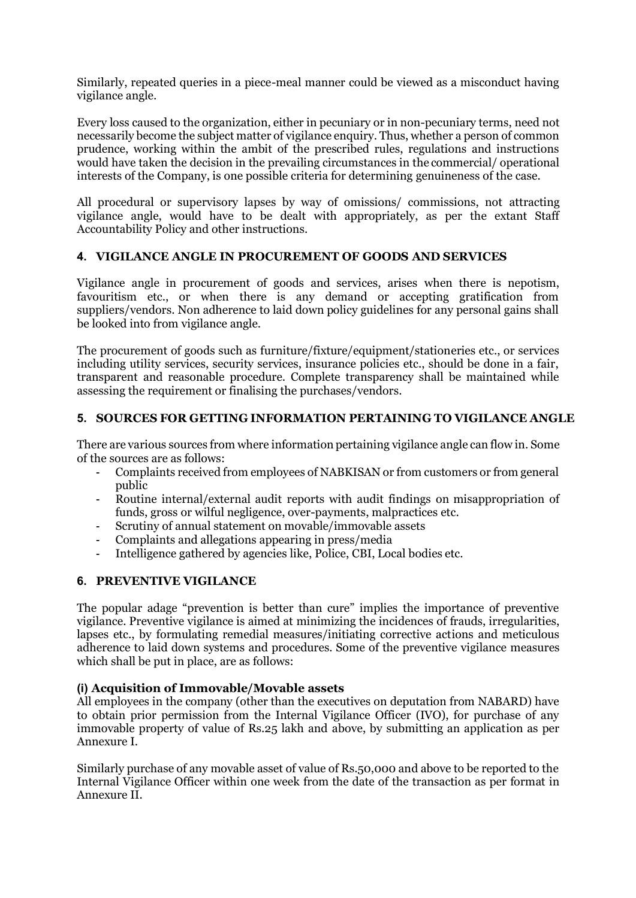Similarly, repeated queries in a piece-meal manner could be viewed as a misconduct having vigilance angle.

Every loss caused to the organization, either in pecuniary or in non-pecuniary terms, need not necessarily become the subject matter of vigilance enquiry. Thus, whether a person of common prudence, working within the ambit of the prescribed rules, regulations and instructions would have taken the decision in the prevailing circumstances in the commercial/ operational interests of the Company, is one possible criteria for determining genuineness of the case.

All procedural or supervisory lapses by way of omissions/ commissions, not attracting vigilance angle, would have to be dealt with appropriately, as per the extant Staff Accountability Policy and other instructions.

# **4. VIGILANCE ANGLE IN PROCUREMENT OF GOODS AND SERVICES**

Vigilance angle in procurement of goods and services, arises when there is nepotism, favouritism etc., or when there is any demand or accepting gratification from suppliers/vendors. Non adherence to laid down policy guidelines for any personal gains shall be looked into from vigilance angle.

The procurement of goods such as furniture/fixture/equipment/stationeries etc., or services including utility services, security services, insurance policies etc., should be done in a fair, transparent and reasonable procedure. Complete transparency shall be maintained while assessing the requirement or finalising the purchases/vendors.

# **5. SOURCES FOR GETTING INFORMATION PERTAINING TO VIGILANCE ANGLE**

There are various sources from where information pertaining vigilance angle can flow in. Some of the sources are as follows:

- Complaints received from employees of NABKISAN or from customers or from general public
- Routine internal/external audit reports with audit findings on misappropriation of funds, gross or wilful negligence, over-payments, malpractices etc.
- Scrutiny of annual statement on movable/immovable assets
- Complaints and allegations appearing in press/media
- Intelligence gathered by agencies like, Police, CBI, Local bodies etc.

# **6. PREVENTIVE VIGILANCE**

The popular adage "prevention is better than cure" implies the importance of preventive vigilance. Preventive vigilance is aimed at minimizing the incidences of frauds, irregularities, lapses etc., by formulating remedial measures/initiating corrective actions and meticulous adherence to laid down systems and procedures. Some of the preventive vigilance measures which shall be put in place, are as follows:

#### **(i) Acquisition of Immovable/Movable assets**

All employees in the company (other than the executives on deputation from NABARD) have to obtain prior permission from the Internal Vigilance Officer (IVO), for purchase of any immovable property of value of Rs.25 lakh and above, by submitting an application as per Annexure I.

Similarly purchase of any movable asset of value of Rs.50,000 and above to be reported to the Internal Vigilance Officer within one week from the date of the transaction as per format in Annexure II.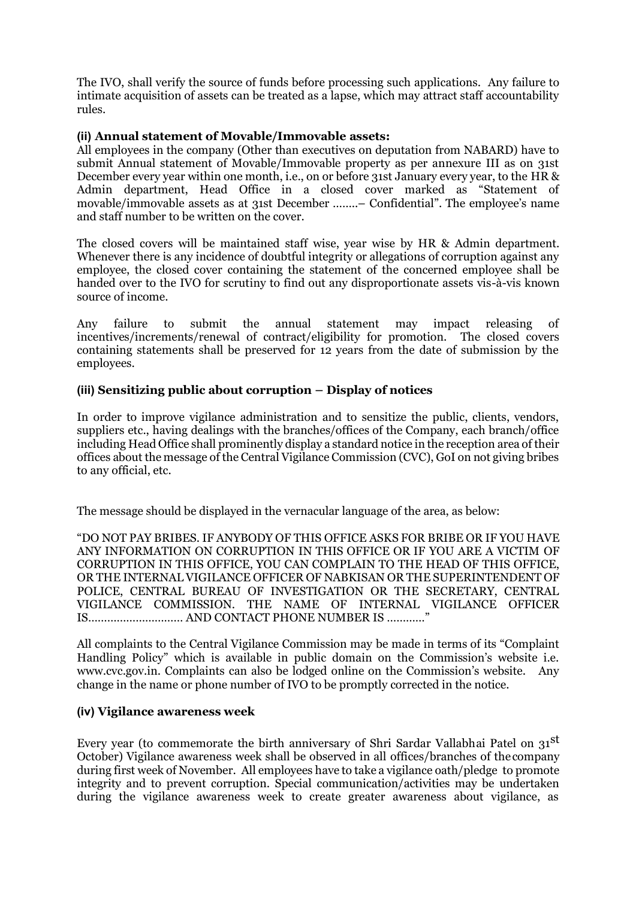The IVO, shall verify the source of funds before processing such applications. Any failure to intimate acquisition of assets can be treated as a lapse, which may attract staff accountability rules.

#### **(ii) Annual statement of Movable/Immovable assets:**

All employees in the company (Other than executives on deputation from NABARD) have to submit Annual statement of Movable/Immovable property as per annexure III as on 31st December every year within one month, i.e., on or before 31st January every year, to the HR & Admin department, Head Office in a closed cover marked as "Statement of movable/immovable assets as at 31st December ……..– Confidential". The employee's name and staff number to be written on the cover.

The closed covers will be maintained staff wise, year wise by HR & Admin department. Whenever there is any incidence of doubtful integrity or allegations of corruption against any employee, the closed cover containing the statement of the concerned employee shall be handed over to the IVO for scrutiny to find out any disproportionate assets vis-à-vis known source of income.

Any failure to submit the annual statement may impact releasing of incentives/increments/renewal of contract/eligibility for promotion. The closed covers containing statements shall be preserved for 12 years from the date of submission by the employees.

# **(iii) Sensitizing public about corruption – Display of notices**

In order to improve vigilance administration and to sensitize the public, clients, vendors, suppliers etc., having dealings with the branches/offices of the Company, each branch/office including Head Office shall prominently display a standard notice in the reception area of their offices about the message of the Central Vigilance Commission (CVC), GoI on not giving bribes to any official, etc.

The message should be displayed in the vernacular language of the area, as below:

"DO NOT PAY BRIBES. IF ANYBODY OF THIS OFFICE ASKS FOR BRIBE OR IF YOU HAVE ANY INFORMATION ON CORRUPTION IN THIS OFFICE OR IF YOU ARE A VICTIM OF CORRUPTION IN THIS OFFICE, YOU CAN COMPLAIN TO THE HEAD OF THIS OFFICE, OR THE INTERNAL VIGILANCE OFFICER OF NABKISAN OR THE SUPERINTENDENT OF POLICE, CENTRAL BUREAU OF INVESTIGATION OR THE SECRETARY, CENTRAL VIGILANCE COMMISSION. THE NAME OF INTERNAL VIGILANCE OFFICER IS………………………… AND CONTACT PHONE NUMBER IS …………"

All complaints to the Central Vigilance Commission may be made in terms of its "Complaint Handling Policy" which is available in public domain on the Commission's website i.e. [www.cvc.gov.in.](http://www.cvc.gov.in/) Complaints can also be lodged online on the Commission's website. Any change in the name or phone number of IVO to be promptly corrected in the notice.

#### **(iv) Vigilance awareness week**

Every year (to commemorate the birth anniversary of Shri Sardar Vallabhai Patel on 31<sup>st</sup> October) Vigilance awareness week shall be observed in all offices/branches of thecompany during first week of November. All employees have to take a vigilance oath/pledge to promote integrity and to prevent corruption. Special communication/activities may be undertaken during the vigilance awareness week to create greater awareness about vigilance, as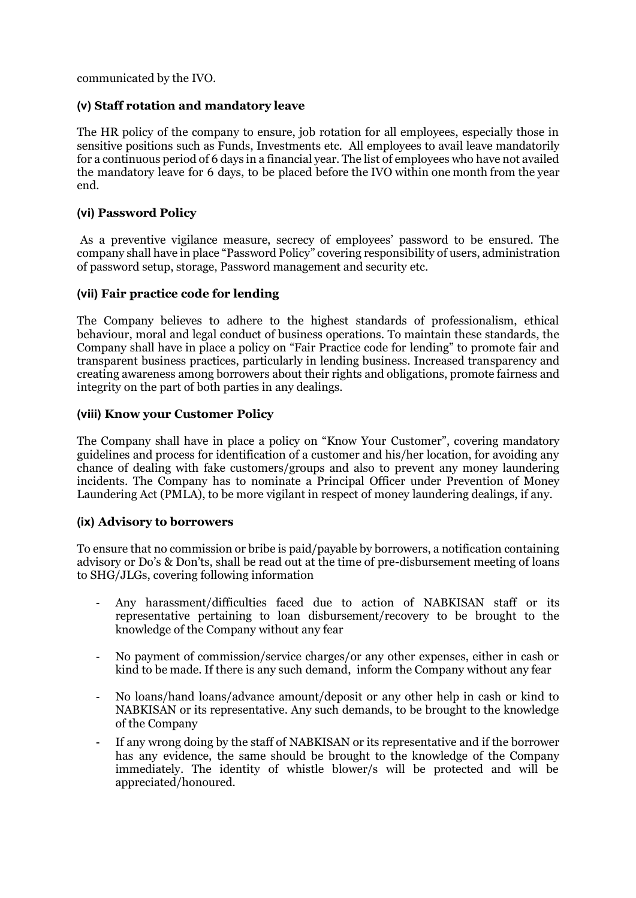communicated by the IVO.

# **(v) Staff rotation and mandatory leave**

The HR policy of the company to ensure, job rotation for all employees, especially those in sensitive positions such as Funds, Investments etc. All employees to avail leave mandatorily for a continuous period of 6 days in a financial year. The list of employees who have not availed the mandatory leave for 6 days, to be placed before the IVO within one month from the year end.

#### **(vi) Password Policy**

As a preventive vigilance measure, secrecy of employees' password to be ensured. The company shall have in place "Password Policy" covering responsibility of users, administration of password setup, storage, Password management and security etc.

#### **(vii) Fair practice code for lending**

The Company believes to adhere to the highest standards of professionalism, ethical behaviour, moral and legal conduct of business operations. To maintain these standards, the Company shall have in place a policy on "Fair Practice code for lending" to promote fair and transparent business practices, particularly in lending business. Increased transparency and creating awareness among borrowers about their rights and obligations, promote fairness and integrity on the part of both parties in any dealings.

#### **(viii) Know your Customer Policy**

The Company shall have in place a policy on "Know Your Customer", covering mandatory guidelines and process for identification of a customer and his/her location, for avoiding any chance of dealing with fake customers/groups and also to prevent any money laundering incidents. The Company has to nominate a Principal Officer under Prevention of Money Laundering Act (PMLA), to be more vigilant in respect of money laundering dealings, if any.

#### **(ix) Advisory to borrowers**

To ensure that no commission or bribe is paid/payable by borrowers, a notification containing advisory or Do's & Don'ts, shall be read out at the time of pre-disbursement meeting of loans to SHG/JLGs, covering following information

- Any harassment/difficulties faced due to action of NABKISAN staff or its representative pertaining to loan disbursement/recovery to be brought to the knowledge of the Company without any fear
- No payment of commission/service charges/or any other expenses, either in cash or kind to be made. If there is any such demand, inform the Company without any fear
- No loans/hand loans/advance amount/deposit or any other help in cash or kind to NABKISAN or its representative. Any such demands, to be brought to the knowledge of the Company
- If any wrong doing by the staff of NABKISAN or its representative and if the borrower has any evidence, the same should be brought to the knowledge of the Company immediately. The identity of whistle blower/s will be protected and will be appreciated/honoured.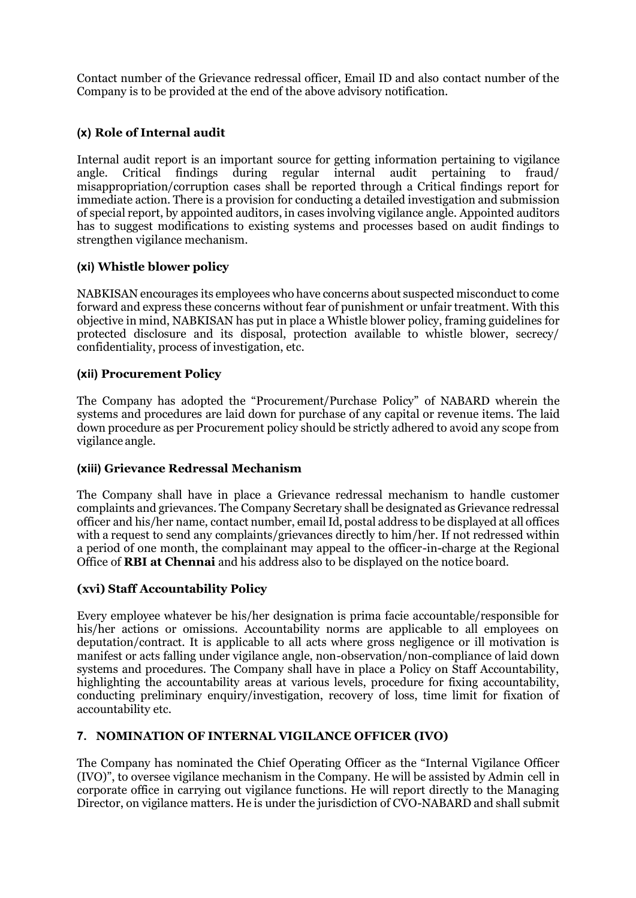Contact number of the Grievance redressal officer, Email ID and also contact number of the Company is to be provided at the end of the above advisory notification.

# **(x) Role of Internal audit**

Internal audit report is an important source for getting information pertaining to vigilance angle. Critical findings during regular internal audit pertaining to fraud/ misappropriation/corruption cases shall be reported through a Critical findings report for immediate action. There is a provision for conducting a detailed investigation and submission of special report, by appointed auditors, in cases involving vigilance angle. Appointed auditors has to suggest modifications to existing systems and processes based on audit findings to strengthen vigilance mechanism.

# **(xi) Whistle blower policy**

NABKISAN encourages its employees who have concerns about suspected misconduct to come forward and express these concerns without fear of punishment or unfair treatment. With this objective in mind, NABKISAN has put in place a Whistle blower policy, framing guidelines for protected disclosure and its disposal, protection available to whistle blower, secrecy/ confidentiality, process of investigation, etc.

# **(xii) Procurement Policy**

The Company has adopted the "Procurement/Purchase Policy" of NABARD wherein the systems and procedures are laid down for purchase of any capital or revenue items. The laid down procedure as per Procurement policy should be strictly adhered to avoid any scope from vigilance angle.

# **(xiii) Grievance Redressal Mechanism**

The Company shall have in place a Grievance redressal mechanism to handle customer complaints and grievances. The Company Secretary shall be designated as Grievance redressal officer and his/her name, contact number, emailId, postal address to be displayed at all offices with a request to send any complaints/grievances directly to him/her. If not redressed within a period of one month, the complainant may appeal to the officer-in-charge at the Regional Office of **RBI at Chennai** and his address also to be displayed on the notice board.

# **(xvi) Staff Accountability Policy**

Every employee whatever be his/her designation is prima facie accountable/responsible for his/her actions or omissions. Accountability norms are applicable to all employees on deputation/contract. It is applicable to all acts where gross negligence or ill motivation is manifest or acts falling under vigilance angle, non-observation/non-compliance of laid down systems and procedures. The Company shall have in place a Policy on Staff Accountability, highlighting the accountability areas at various levels, procedure for fixing accountability, conducting preliminary enquiry/investigation, recovery of loss, time limit for fixation of accountability etc.

# **7. NOMINATION OF INTERNAL VIGILANCE OFFICER (IVO)**

The Company has nominated the Chief Operating Officer as the "Internal Vigilance Officer (IVO)", to oversee vigilance mechanism in the Company. He will be assisted by Admin cell in corporate office in carrying out vigilance functions. He will report directly to the Managing Director, on vigilance matters. He is under the jurisdiction of CVO-NABARD and shall submit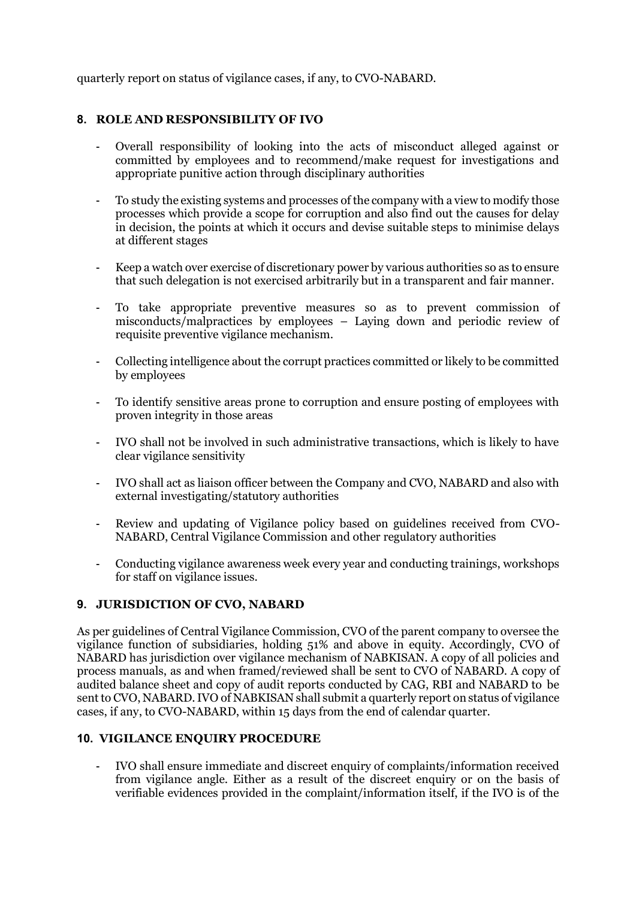quarterly report on status of vigilance cases, if any, to CVO-NABARD.

# **8. ROLE AND RESPONSIBILITY OF IVO**

- Overall responsibility of looking into the acts of misconduct alleged against or committed by employees and to recommend/make request for investigations and appropriate punitive action through disciplinary authorities
- To study the existing systems and processes of the company with a view to modify those processes which provide a scope for corruption and also find out the causes for delay in decision, the points at which it occurs and devise suitable steps to minimise delays at different stages
- Keep a watch over exercise of discretionary power by various authorities so as to ensure that such delegation is not exercised arbitrarily but in a transparent and fair manner.
- To take appropriate preventive measures so as to prevent commission of misconducts/malpractices by employees – Laying down and periodic review of requisite preventive vigilance mechanism.
- Collecting intelligence about the corrupt practices committed or likely to be committed by employees
- To identify sensitive areas prone to corruption and ensure posting of employees with proven integrity in those areas
- IVO shall not be involved in such administrative transactions, which is likely to have clear vigilance sensitivity
- IVO shall act as liaison officer between the Company and CVO, NABARD and also with external investigating/statutory authorities
- Review and updating of Vigilance policy based on guidelines received from CVO-NABARD, Central Vigilance Commission and other regulatory authorities
- Conducting vigilance awareness week every year and conducting trainings, workshops for staff on vigilance issues.

#### **9. JURISDICTION OF CVO, NABARD**

As per guidelines of Central Vigilance Commission, CVO of the parent company to oversee the vigilance function of subsidiaries, holding 51% and above in equity. Accordingly, CVO of NABARD has jurisdiction over vigilance mechanism of NABKISAN. A copy of all policies and process manuals, as and when framed/reviewed shall be sent to CVO of NABARD. A copy of audited balance sheet and copy of audit reports conducted by CAG, RBI and NABARD to be sent to CVO, NABARD. IVO of NABKISAN shall submit a quarterly report on status of vigilance cases, if any, to CVO-NABARD, within 15 days from the end of calendar quarter.

#### **10. VIGILANCE ENQUIRY PROCEDURE**

- IVO shall ensure immediate and discreet enquiry of complaints/information received from vigilance angle. Either as a result of the discreet enquiry or on the basis of verifiable evidences provided in the complaint/information itself, if the IVO is of the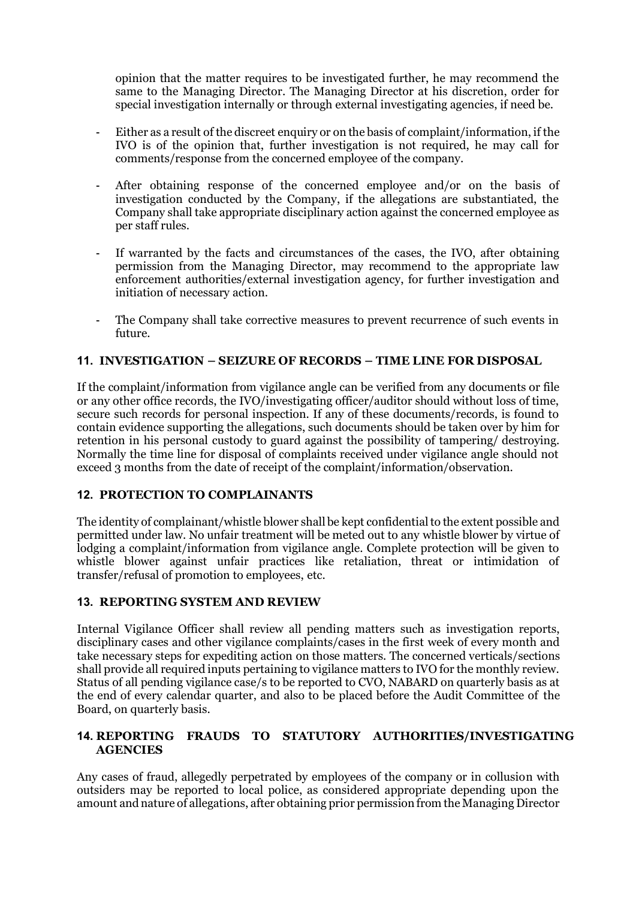opinion that the matter requires to be investigated further, he may recommend the same to the Managing Director. The Managing Director at his discretion, order for special investigation internally or through external investigating agencies, if need be.

- Either as a result of the discreet enquiry or on the basis of complaint/information, if the IVO is of the opinion that, further investigation is not required, he may call for comments/response from the concerned employee of the company.
- After obtaining response of the concerned employee and/or on the basis of investigation conducted by the Company, if the allegations are substantiated, the Company shall take appropriate disciplinary action against the concerned employee as per staff rules.
- If warranted by the facts and circumstances of the cases, the IVO, after obtaining permission from the Managing Director, may recommend to the appropriate law enforcement authorities/external investigation agency, for further investigation and initiation of necessary action.
- The Company shall take corrective measures to prevent recurrence of such events in future.

#### **11. INVESTIGATION – SEIZURE OF RECORDS – TIME LINE FOR DISPOSAL**

If the complaint/information from vigilance angle can be verified from any documents or file or any other office records, the IVO/investigating officer/auditor should without loss of time, secure such records for personal inspection. If any of these documents/records, is found to contain evidence supporting the allegations, such documents should be taken over by him for retention in his personal custody to guard against the possibility of tampering/ destroying. Normally the time line for disposal of complaints received under vigilance angle should not exceed 3 months from the date of receipt of the complaint/information/observation.

#### **12. PROTECTION TO COMPLAINANTS**

The identity of complainant/whistle blower shall be kept confidentialto the extent possible and permitted under law. No unfair treatment will be meted out to any whistle blower by virtue of lodging a complaint/information from vigilance angle. Complete protection will be given to whistle blower against unfair practices like retaliation, threat or intimidation of transfer/refusal of promotion to employees, etc.

#### **13. REPORTING SYSTEM AND REVIEW**

Internal Vigilance Officer shall review all pending matters such as investigation reports, disciplinary cases and other vigilance complaints/cases in the first week of every month and take necessary steps for expediting action on those matters. The concerned verticals/sections shall provide all required inputs pertaining to vigilance matters to IVO for the monthly review. Status of all pending vigilance case/s to be reported to CVO, NABARD on quarterly basis as at the end of every calendar quarter, and also to be placed before the Audit Committee of the Board, on quarterly basis.

#### **14. REPORTING FRAUDS TO STATUTORY AUTHORITIES/INVESTIGATING AGENCIES**

Any cases of fraud, allegedly perpetrated by employees of the company or in collusion with outsiders may be reported to local police, as considered appropriate depending upon the amount andnature of allegations, after obtaining prior permission from theManaging Director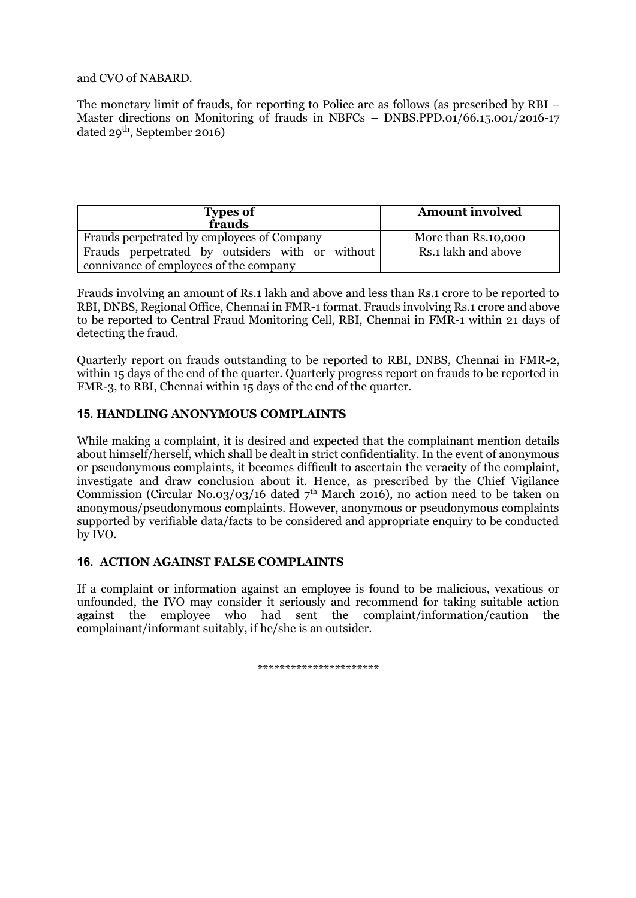and CVO of NABARD.

The monetary limit of frauds, for reporting to Police are as follows (as prescribed by RBI – Master directions on Monitoring of frauds in NBFCs – DNBS.PPD.01/66.15.001/2016-17 dated 29<sup>th</sup>, September 2016)

| <b>Types of</b><br>frauds                       | <b>Amount involved</b> |  |  |
|-------------------------------------------------|------------------------|--|--|
| Frauds perpetrated by employees of Company      | More than Rs.10,000    |  |  |
| Frauds perpetrated by outsiders with or without | Rs.1 lakh and above    |  |  |
| connivance of employees of the company          |                        |  |  |

Frauds involving an amount of Rs.1 lakh and above and less than Rs.1 crore to be reported to RBI, DNBS, Regional Office, Chennai in FMR-1 format. Frauds involving Rs.1 crore and above to be reported to Central Fraud Monitoring Cell, RBI, Chennai in FMR-1 within 21 days of detecting the fraud.

Quarterly report on frauds outstanding to be reported to RBI, DNBS, Chennai in FMR-2, within 15 days of the end of the quarter. Quarterly progress report on frauds to be reported in FMR-3, to RBI, Chennai within 15 days of the end of the quarter.

#### **15. HANDLING ANONYMOUS COMPLAINTS**

While making a complaint, it is desired and expected that the complainant mention details about himself/herself, which shall be dealt in strict confidentiality. In the event of anonymous or pseudonymous complaints, it becomes difficult to ascertain the veracity of the complaint, investigate and draw conclusion about it. Hence, as prescribed by the Chief Vigilance Commission (Circular No.03/03/16 dated  $7<sup>th</sup>$  March 2016), no action need to be taken on anonymous/pseudonymous complaints. However, anonymous or pseudonymous complaints supported by verifiable data/facts to be considered and appropriate enquiry to be conducted by IVO.

#### **16. ACTION AGAINST FALSE COMPLAINTS**

If a complaint or information against an employee is found to be malicious, vexatious or unfounded, the IVO may consider it seriously and recommend for taking suitable action against the employee who had sent the complaint/information/caution the complainant/informant suitably, if he/she is an outsider.

\*\*\*\*\*\*\*\*\*\*\*\*\*\*\*\*\*\*\*\*\*\*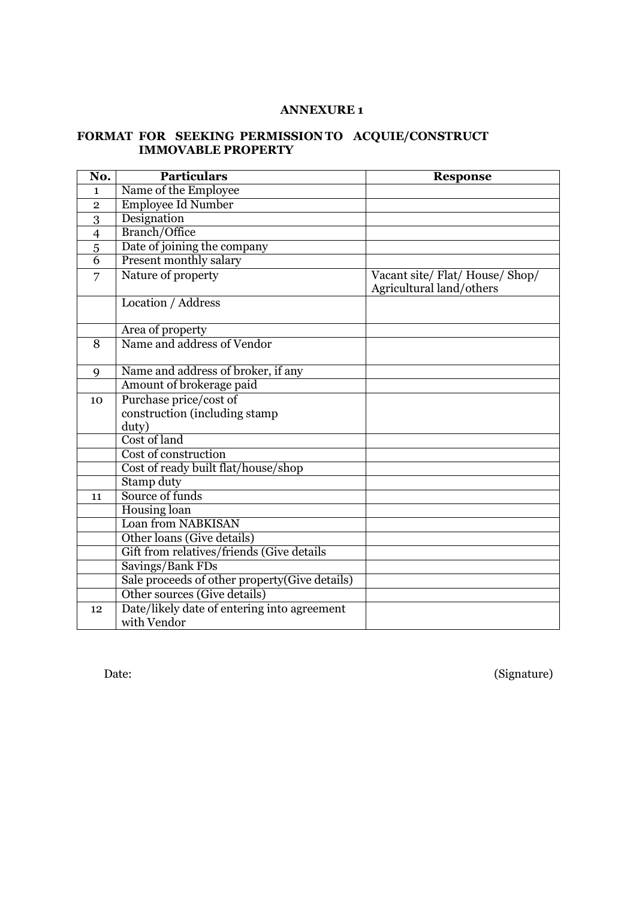#### **ANNEXURE 1**

#### **FORMAT FOR SEEKING PERMISSION TO ACQUIE/CONSTRUCT IMMOVABLE PROPERTY**

| No.            | <b>Particulars</b>                            | <b>Response</b>                                             |
|----------------|-----------------------------------------------|-------------------------------------------------------------|
| $\mathbf{1}$   | Name of the Employee                          |                                                             |
| $\overline{2}$ | <b>Employee Id Number</b>                     |                                                             |
| 3              | Designation                                   |                                                             |
| $\overline{4}$ | Branch/Office                                 |                                                             |
| $\overline{5}$ | Date of joining the company                   |                                                             |
| $\overline{6}$ | Present monthly salary                        |                                                             |
| 7              | Nature of property                            | Vacant site/ Flat/ House/ Shop/<br>Agricultural land/others |
|                | Location / Address                            |                                                             |
|                | Area of property                              |                                                             |
| 8              | Name and address of Vendor                    |                                                             |
| 9              | Name and address of broker, if any            |                                                             |
|                | Amount of brokerage paid                      |                                                             |
| 10             | Purchase price/cost of                        |                                                             |
|                | construction (including stamp)                |                                                             |
|                | duty)                                         |                                                             |
|                | Cost of land                                  |                                                             |
|                | Cost of construction                          |                                                             |
|                | Cost of ready built flat/house/shop           |                                                             |
|                | <b>Stamp duty</b>                             |                                                             |
| 11             | Source of funds                               |                                                             |
|                | Housing loan                                  |                                                             |
|                | Loan from NABKISAN                            |                                                             |
|                | Other loans (Give details)                    |                                                             |
|                | Gift from relatives/friends (Give details     |                                                             |
|                | Savings/Bank FDs                              |                                                             |
|                | Sale proceeds of other property(Give details) |                                                             |
|                | Other sources (Give details)                  |                                                             |
| 12             | Date/likely date of entering into agreement   |                                                             |
|                | with Vendor                                   |                                                             |

Date: (Signature)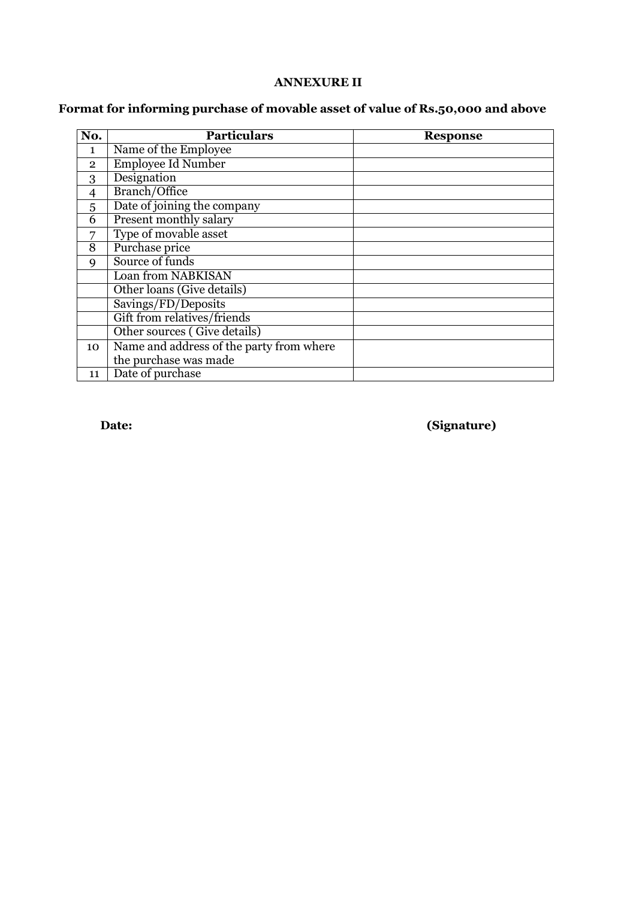# **ANNEXURE II**

# **Format for informing purchase of movable asset of value of Rs.50,000 and above**

| No.            | <b>Particulars</b>                       | <b>Response</b> |
|----------------|------------------------------------------|-----------------|
| $\mathbf{1}$   | Name of the Employee                     |                 |
| $\overline{2}$ | <b>Employee Id Number</b>                |                 |
| 3              | Designation                              |                 |
| $\overline{4}$ | Branch/Office                            |                 |
| 5              | Date of joining the company              |                 |
| 6              | Present monthly salary                   |                 |
| 7              | Type of movable asset                    |                 |
| 8              | Purchase price                           |                 |
| 9              | Source of funds                          |                 |
|                | Loan from NABKISAN                       |                 |
|                | Other loans (Give details)               |                 |
|                | Savings/FD/Deposits                      |                 |
|                | Gift from relatives/friends              |                 |
|                | Other sources (Give details)             |                 |
| 10             | Name and address of the party from where |                 |
|                | the purchase was made                    |                 |
| 11             | Date of purchase                         |                 |

**Date: (Signature)**